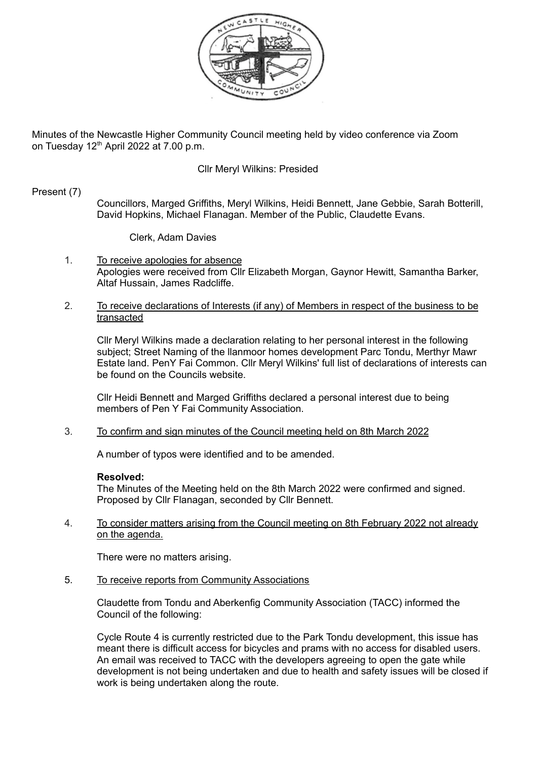

Minutes of the Newcastle Higher Community Council meeting held by video conference via Zoom on Tuesday 12<sup>th</sup> April 2022 at 7.00 p.m.

## Cllr Meryl Wilkins: Presided

### Present (7)

Councillors, Marged Griffiths, Meryl Wilkins, Heidi Bennett, Jane Gebbie, Sarah Botterill, David Hopkins, Michael Flanagan. Member of the Public, Claudette Evans.

Clerk, Adam Davies

1. To receive apologies for absence Apologies were received from Cllr Elizabeth Morgan, Gaynor Hewitt, Samantha Barker, Altaf Hussain, James Radcliffe.

#### 2. To receive declarations of Interests (if any) of Members in respect of the business to be transacted

Cllr Meryl Wilkins made a declaration relating to her personal interest in the following subject; Street Naming of the llanmoor homes development Parc Tondu, Merthyr Mawr Estate land. PenY Fai Common. Cllr Meryl Wilkins' full list of declarations of interests can be found on the Councils website.

Cllr Heidi Bennett and Marged Griffiths declared a personal interest due to being members of Pen Y Fai Community Association.

3. To confirm and sign minutes of the Council meeting held on 8th March 2022

A number of typos were identified and to be amended.

#### **Resolved:**

The Minutes of the Meeting held on the 8th March 2022 were confirmed and signed. Proposed by Cllr Flanagan, seconded by Cllr Bennett.

4. To consider matters arising from the Council meeting on 8th February 2022 not already on the agenda.

There were no matters arising.

5. To receive reports from Community Associations

Claudette from Tondu and Aberkenfig Community Association (TACC) informed the Council of the following:

Cycle Route 4 is currently restricted due to the Park Tondu development, this issue has meant there is difficult access for bicycles and prams with no access for disabled users. An email was received to TACC with the developers agreeing to open the gate while development is not being undertaken and due to health and safety issues will be closed if work is being undertaken along the route.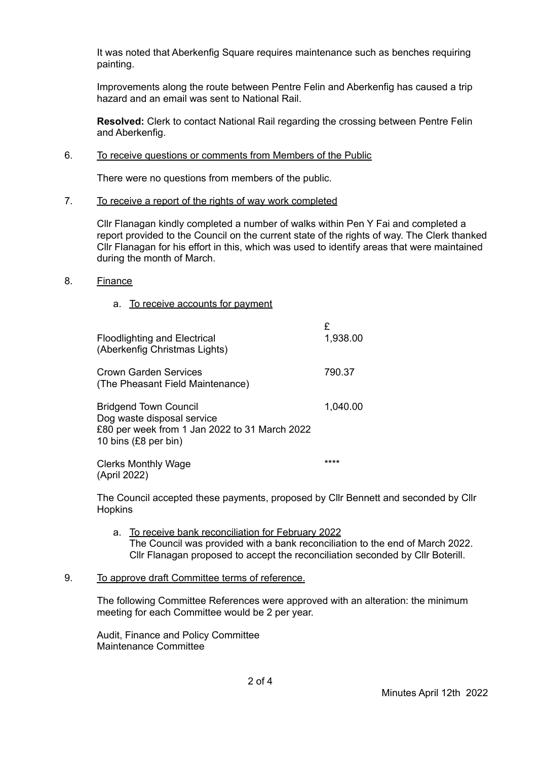It was noted that Aberkenfig Square requires maintenance such as benches requiring painting.

Improvements along the route between Pentre Felin and Aberkenfig has caused a trip hazard and an email was sent to National Rail.

**Resolved:** Clerk to contact National Rail regarding the crossing between Pentre Felin and Aberkenfig.

### 6. To receive questions or comments from Members of the Public

There were no questions from members of the public.

### 7. To receive a report of the rights of way work completed

Cllr Flanagan kindly completed a number of walks within Pen Y Fai and completed a report provided to the Council on the current state of the rights of way. The Clerk thanked Cllr Flanagan for his effort in this, which was used to identify areas that were maintained during the month of March.

- 8. Finance
	- a. To receive accounts for payment

| <b>Floodlighting and Electrical</b><br>(Aberkenfig Christmas Lights)                                                                | £<br>1,938.00 |
|-------------------------------------------------------------------------------------------------------------------------------------|---------------|
| Crown Garden Services<br>(The Pheasant Field Maintenance)                                                                           | 790.37        |
| <b>Bridgend Town Council</b><br>Dog waste disposal service<br>£80 per week from 1 Jan 2022 to 31 March 2022<br>10 bins (£8 per bin) | 1,040.00      |
| <b>Clerks Monthly Wage</b><br>(April 2022)                                                                                          | ****          |

The Council accepted these payments, proposed by Cllr Bennett and seconded by Cllr **Hopkins** 

- a. To receive bank reconciliation for February 2022 The Council was provided with a bank reconciliation to the end of March 2022. Cllr Flanagan proposed to accept the reconciliation seconded by Cllr Boterill.
- 9. To approve draft Committee terms of reference.

The following Committee References were approved with an alteration: the minimum meeting for each Committee would be 2 per year.

Audit, Finance and Policy Committee Maintenance Committee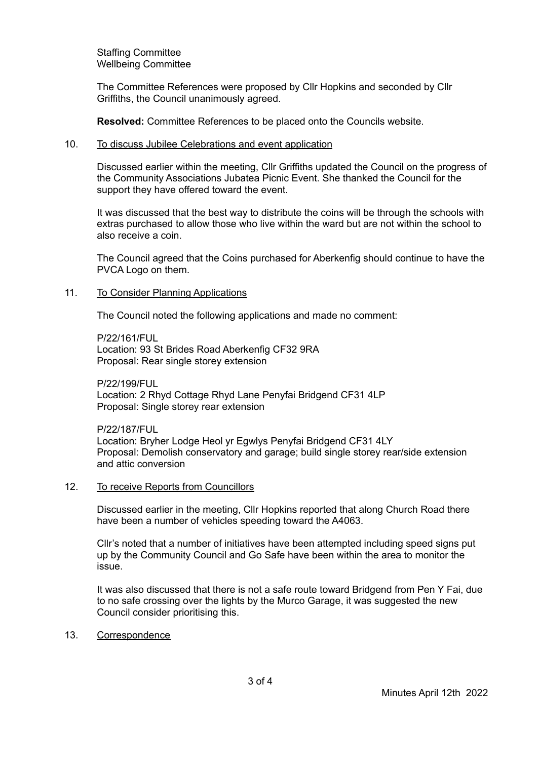Staffing Committee Wellbeing Committee

The Committee References were proposed by Cllr Hopkins and seconded by Cllr Griffiths, the Council unanimously agreed.

**Resolved:** Committee References to be placed onto the Councils website.

#### 10. To discuss Jubilee Celebrations and event application

Discussed earlier within the meeting, Cllr Griffiths updated the Council on the progress of the Community Associations Jubatea Picnic Event. She thanked the Council for the support they have offered toward the event.

It was discussed that the best way to distribute the coins will be through the schools with extras purchased to allow those who live within the ward but are not within the school to also receive a coin.

The Council agreed that the Coins purchased for Aberkenfig should continue to have the PVCA Logo on them.

#### 11. To Consider Planning Applications

The Council noted the following applications and made no comment:

P/22/161/FUL Location: 93 St Brides Road Aberkenfig CF32 9RA Proposal: Rear single storey extension

**P/22/199/FUL** Location: 2 Rhyd Cottage Rhyd Lane Penyfai Bridgend CF31 4LP Proposal: Single storey rear extension

P/22/187/FUL Location: Bryher Lodge Heol yr Egwlys Penyfai Bridgend CF31 4LY Proposal: Demolish conservatory and garage; build single storey rear/side extension and attic conversion

#### 12. To receive Reports from Councillors

Discussed earlier in the meeting, Cllr Hopkins reported that along Church Road there have been a number of vehicles speeding toward the A4063.

Cllr's noted that a number of initiatives have been attempted including speed signs put up by the Community Council and Go Safe have been within the area to monitor the issue.

It was also discussed that there is not a safe route toward Bridgend from Pen Y Fai, due to no safe crossing over the lights by the Murco Garage, it was suggested the new Council consider prioritising this.

### 13. Correspondence